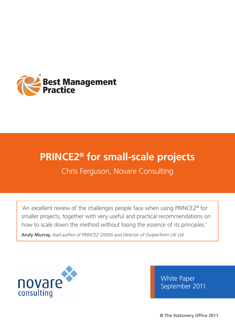

# **PRINCE2® for small-scale projects**

Chris Ferguson, Novare Consulting

'An excellent review of the challenges people face when using PRINCE2® for smaller projects, together with very useful and practical recommendations on how to scale down the method without losing the essence of its principles.'

**Andy Murray**, *lead author of PRINCE2 (2009) and Director of Outperform UK Ltd*



White Paper September 2011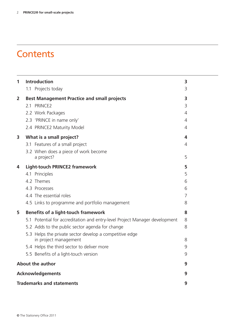# **Contents**

| 1                                | Introduction                                                                     |   |  |  |
|----------------------------------|----------------------------------------------------------------------------------|---|--|--|
|                                  | 1.1 Projects today                                                               | 3 |  |  |
| $\overline{2}$                   | <b>Best Management Practice and small projects</b>                               | 3 |  |  |
|                                  | 2.1 PRINCE2                                                                      | 3 |  |  |
|                                  | 2.2 Work Packages                                                                | 4 |  |  |
|                                  | 2.3 'PRINCE in name only'                                                        | 4 |  |  |
|                                  | 2.4 PRINCE2 Maturity Model                                                       | 4 |  |  |
| 3                                | What is a small project?                                                         | 4 |  |  |
|                                  | 3.1 Features of a small project                                                  | 4 |  |  |
|                                  | 3.2 When does a piece of work become                                             |   |  |  |
|                                  | a project?                                                                       | 5 |  |  |
| 4                                | <b>Light-touch PRINCE2 framework</b>                                             | 5 |  |  |
|                                  | 4.1 Principles                                                                   | 5 |  |  |
|                                  | 4.2 Themes                                                                       | 6 |  |  |
|                                  | 4.3 Processes                                                                    | 6 |  |  |
|                                  | 4.4 The essential roles                                                          | 7 |  |  |
|                                  | 4.5 Links to programme and portfolio management                                  | 8 |  |  |
| 5                                | <b>Benefits of a light-touch framework</b>                                       |   |  |  |
|                                  | 5.1 Potential for accreditation and entry-level Project Manager development      | 8 |  |  |
|                                  | 5.2 Adds to the public sector agenda for change                                  | 8 |  |  |
|                                  | 5.3 Helps the private sector develop a competitive edge<br>in project management | 8 |  |  |
|                                  | 5.4 Helps the third sector to deliver more                                       | 9 |  |  |
|                                  | 5.5 Benefits of a light-touch version                                            | 9 |  |  |
|                                  | <b>About the author</b>                                                          |   |  |  |
|                                  | <b>Acknowledgements</b>                                                          |   |  |  |
| <b>Trademarks and statements</b> |                                                                                  |   |  |  |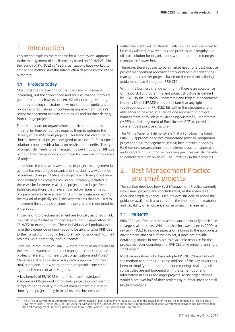## 1 Introduction

This section explains the rationale for a 'light-touch' approach to the management of small projects based on PRINCE2®. Since the launch of PRINCE2 in 1996 organizations have worked to embed the method and this introduction describes some of the outcomes.

#### **1.1 Projects today**

Most organizations recognize that the pace of change is increasing, but the sheer speed and scale of change today are greater than they have ever been. Whether change is brought about by funding constraints, new market opportunities, altered policies and regulations or continuous improvement, today's senior management expects rapid results and succinct delivery from change projects.

There is pressure on organizations to deliver more for less in a shorter time period; this requires them to optimize the delivery of benefits from projects. This trend has given rise to shorter, lower-cost projects designed to achieve 'fit for purpose' solutions coupled with a focus on results and benefits. This type of project still needs to be managed, however; utilizing PRINCE2 without effective tailoring could prove too onerous for this scale of project.

In addition, the increased awareness of project management in general has encouraged organizations to classify a wide range of business change initiatives as projects which might not have been managed as projects previously. Inevitably, included in these will be far more small-scale projects than large. Even those organizations that have embarked on 'transformation' programmes also have a need for a simple-to-use approach to the myriad of (typically small) delivery projects that are used to implement the strategic changes the programme is designed to bring about.

Those new to project management are typically assigned small, low-risk projects that might not require the full application of PRINCE2 to manage them. These individuals will probably not have the experience or knowledge to be able to tailor PRINCE2 to their projects. This could lead to an ad-hoc approach to small projects, with potentially poor outcomes.

Since the introduction of PRINCE2 there has been an increase in the level of awareness of project management best practice and professional skills. This means that organizations and Project Managers still wish to use a best practice approach for their smaller projects, but wish to adopt a pragmatic, consistent, light-touch means of achieving this.

A key benefit of PRINCE2 is that it is an acknowledged standard and those working on small projects do not wish to compromise the quality of project management but instead simplify the project lifecycle to achieve the business benefits

within the identified constraints. PRINCE2 has been designed to be easily tailored; however, this can prove to be a lengthy and difficult solution for organizations without the required project management expertise.

Therefore, there appears to be a market need for a best practice project management approach that would help organizations manage their smaller projects based on the excellent tailoring guidance spread throughout PRINCE2.

Within the business change community there is an acceptance of the portfolio, programme and project structure as defined by OGC\* in the Portfolio, Programme and Project Management Maturity Model (P3M3<sup>®</sup>). It is important that any lighttouch application of PRINCE2 fits within this structure and is able either to be used as a standalone approach to project management or to link with Managing Successful Programmes (MSP®) and Management of Porfolios (MoP™) to provide a coherent best practice structure.

This White Paper will demonstrate that a light-touch tailored PRINCE2 approach need not compromise porfolio, programme, project and risk management (P3RM) best practice principles. Furthermore, organizations that implement such an approach and integrate it fully into their working practices will still be able to demonstrate high levels of P3M3 maturity in their projects.

## 2 Best Management Practice and small projects

This section describes how Best Management Practice currently views small projects and concludes that, in the absence of clear and simple guidance, such projects struggle to adopt the guidance available. It also considers the impact on the maturity and capability of an organization in project management.

#### **2.1 PRINCE2**

PRINCE2 has often been seen as bureaucratic or only applicable to large-scale projects. While much effort was made in 2009 to revise PRINCE2 to include aspects of tailoring to the appropriate environment and scale of the project, it does not provide detailed guidance in one place as a valuable resource for the project manager operating in a PRINCE2 environment running a small project.

Most organizations who have adopted PRINCE2 have tailored the method to suit their business and one of the key drivers has been to simplify the method for those running small projects so that they are not burdened with the same rigour and information needs as for larger projects. Many organizations would place over half of their projects by number into the small projects category.

The Office of Government Commerce (OGC), former owner of Best Management Practice, has been the custodian of the portfolio on behalf of Her Majesty's Government (HMG) since 2000. In June 2010 the Minister for the Cabinet Office announced a reorganization of some Government activities and confirmed that the Best Management Practice functions have moved into Cabinet Office, part of HM Government.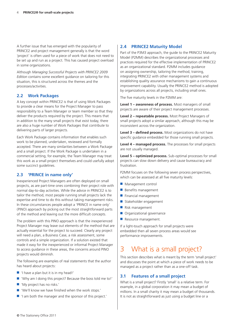A further issue that has emerged with the popularity of PRINCE2 and project management generally is that the word 'project' is often used for a piece of work that does not need to be set up and run as a project. This has caused project overload in some organizations.

Although *Managing Successful Projects with PRINCE2 2009 Edition* contains some excellent guidance on tailoring for this situation, this is structured across the themes and the processes/activities.

#### **2.2 Work Packages**

A key concept within PRINCE2 is that of using Work Packages to provide a clear means for the Project Manager to pass responsibility to a Team Manager or team member so that they deliver the products required by the project. This means that in addition to the many small projects that exist today, there are also a huge number of Work Packages that contribute to delivering parts of larger projects.

Each Work Package contains information that enables such work to be planned, undertaken, reviewed and formally accepted. There are many similarities between a Work Package and a small project. If the Work Package is undertaken in a commercial setting, for example, the Team Manager may treat this work as a small project themselves and could usefully adopt some succinct guidelines.

#### **2.3 'PRINCE in name only'**

Inexperienced Project Managers are often deployed on small projects, as are part-time ones combining their project role with normal day-to-day activities. While the advice in PRINCE2 is to tailor the method, most people running small projects lack the expertise and time to do this without taking management risks. In these circumstances people adopt a 'PRINCE in name only' (PINO) approach by picking out the most straightforward parts of the method and leaving out the more difficult concepts.

The problem with this PINO approach is that the inexperienced Project Manager may leave out elements of the method that are actually essential for the project to succeed. Clearly any project will need a plan, a Business Case, a risk assessment, some controls and a simple organization. If a solution existed that made it easy for the inexperienced or informal Project Manager to access guidance in these areas, the concerns around PINO projects would diminish.

The following are examples of real statements that the author has heard about projects:

- 'I have a plan but it is in my head!'
- 'Why am I doing this project? Because the boss told me to!'
- 'My project has no risks.'
- 'We'll know we have finished when the work stops.'
- 'I am both the manager and the sponsor of this project.'

#### **2.4 PRINCE2 Maturity Model**

Part of the P3M3 approach, the guide to the PRINCE2 Maturity Model (P2MM) describes the organizational processes and practices required for the effective implementation of PRINCE2 as an organizational standard. P2MM includes guidance on assigning ownership, tailoring the method, training, integrating PRINCE2 with other management systems and establishing quality assurance mechanisms to gain a continuous improvement capability. Usually the PRINCE2 method is adopted by organizations across all projects, including small ones.

The five maturity levels in the P2MM are:

**Level 1 – awareness of process.** Most managers of small projects are aware of their project management processes.

**Level 2 – repeatable process.** Most Project Managers of small projects adopt a similar approach, although this may be inconsistent across the organization.

**Level 3 – defined process.** Most organizations do not have specific guidance embedded for those running small projects.

**Level 4 – managed process.** The processes for small projects are not usually managed.

**Level 5 – optimized process.** Sub-optimal processes for small projects can slow down delivery and cause bureaucracy and frustration.

P2MM focuses on the following seven process perspectives, which can be assessed at all five maturity levels:

- Management control
- Benefits management
- Financial management
- Stakeholder engagement
- Risk management
- Organizational governance
- Resource management.

If a light-touch approach for small projects were embedded then all seven process areas would see performance improvements.

## 3 What is a small project?

This section describes what is meant by the term 'small project' and discusses the point at which a piece of work needs to be managed as a project rather than as a one-off task.

#### **3.1 Features of a small project**

What is a small project? Firstly 'small' is a relative term. For example, in a global corporation it may mean a budget of millions. In a small charity it may mean a budget of thousands. It is not as straightforward as just using a budget line or a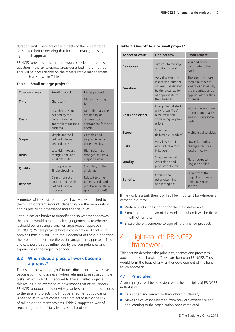duration limit. There are other aspects of the project to be considered before deciding that it can be managed using a light-touch approach.

PRINCE2 provides a useful framework to help address this question in the six tolerance areas described in the method. This will help you decide on the most suitable management approach as shown in Table 1.

| Tolerance area  | <b>Small project</b>                                                                        | Large project                                                                           |
|-----------------|---------------------------------------------------------------------------------------------|-----------------------------------------------------------------------------------------|
| <b>Time</b>     | Short term                                                                                  | Medium to long<br>term                                                                  |
| Costs           | Less than a value<br>defined by the<br>organization as<br>appropriate for their<br>business | More than a value<br>defined by an<br>organization as<br>appropriate for their<br>needs |
| <b>Scope</b>    | Simple and well<br>defined. Stable<br>dependencies                                          | Complex and<br>vague. Dynamic<br>dependencies                                           |
| <b>Risks</b>    | Low risk, modest<br>changes, failure a<br>local difficulty                                  | High risk, major<br>changes, failure a<br>major disaster                                |
| Quality         | Fit for purpose.<br>Single discipline                                                       | Complex, multi-<br>discipline                                                           |
| <b>Benefits</b> | Direct from the<br>project and clearly<br>defined. Single<br>sponsor                        | Related to other<br>projects and hard to<br>pin down. Multiple<br>sponsors (Board)      |

A number of these statements will have values attached to them with different amounts depending on the organization and its prevailing governance and financial rules.

Other areas are harder to quantify and so whoever approves the project would need to make a judgement as to whether it should be run using a small or large project approach (PRINCE2). Where projects have a combination of factors in both columns it is still up to the judgement of those authorizing the project to determine the best management approach. This choice should also be influenced by the competencies and experience of the Project Manager.

#### **3.2 When does a piece of work become a project?**

The use of the word 'project' to describe a piece of work has become commonplace even when referring to relatively simple tasks. When PRINCE2 is applied to these smaller projects this results in an overhead of governance that often renders PRINCE2 unpopular and unwieldy. Unless the method is tailored to the smaller projects it will not be effective. But guidance is needed as to what constitutes a project to avoid the risk of taking on too many projects. Table 2 suggests a way of separating a one-off task from a small project.

#### **Table 2 One-off task or small project?**

| <b>Aspect of work</b> | One-off task                                                                                                                  | <b>Small project</b>                                                                                                     |
|-----------------------|-------------------------------------------------------------------------------------------------------------------------------|--------------------------------------------------------------------------------------------------------------------------|
| <b>Resources</b>      | Just you to manage<br>and do the work                                                                                         | You and others<br>contribute to the<br>work                                                                              |
| <b>Duration</b>       | Very short-term -<br>less than a number<br>of weeks as defined<br>by the organization<br>as appropriate for<br>their business | Short-term - more<br>than a number of<br>weeks as defined by<br>the organization as<br>appropriate for their<br>business |
| Costs and effort      | Using internal staff<br>only (often 'free'<br>resources) and<br>consuming very low<br>effort                                  | Working across two<br>or more boundaries<br>and incurring some<br>costs                                                  |
| <b>Scope</b>          | One main<br>deliverable (product)                                                                                             | Multiple deliverables                                                                                                    |
| <b>Risks</b>          | Very low risk, if<br>any. Failure a mild<br>irritation                                                                        | Low risk, modest<br>changes, failure a<br>local difficulty                                                               |
| Quality               | Single review of<br>work done and<br>product delivered                                                                        | Fit for purpose.<br>Single discipline                                                                                    |
| <b>Benefits</b>       | Often none,<br>otherwise minor<br>and intangible                                                                              | Direct from the<br>project and clearly<br>defined. Single<br>sponsor                                                     |

If the work is a task then it will still be important for whoever is carrying it out to:

- Write a product description for the main deliverable
- Sketch out a brief plan of the work and when it will be fitted in with other roles
- Ensure there is someone to sign off the finished product.

### 4 Light-touch PRINCE2 framework

This section describes the principles, themes and processes applied to a small project. These are based on PRINCE2. They would form the basis of any further development of the lighttouch approach.

#### **4.1 Principles**

A small project will be consistent with the principles of PRINCE2 in that it will:

- Be justified and remain so throughout its delivery
- Make use of lessons learned from previous experience and add learning to the organization once completed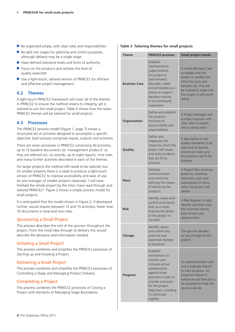- $\blacksquare$  Be organized simply, with clear roles and responsibilities
- $\blacksquare$  Be split into stages for planning and control purposes. although delivery may be a single stage
- Have defined tolerance levels and limits of authority
- Focus on the products and achieve the level of quality expected
- Use a light-touch, tailored version of PRINCE2 for efficient and effective project management.

#### **4.2 Themes**

A light-touch PRINCE2 framework will cover all of the themes in PRINCE2 to ensure the method retains its integrity, yet is tailored to suit the small project. Table 3 shows how the seven PRINCE2 themes will be tailored for small projects.

#### **4.3 Processes**

The PRINCE2 process model (Figure 1, page 7) shows a structured set of activities designed to accomplish a specific objective. Each process comprises inputs, outputs and activities.

There are seven processes in PRINCE2 comprising 40 activities, up to 12 baseline documents (or 'management products' as they are referred to), six records, up to eight reports, nine roles and many further activities described in each of the themes.

For larger projects the method still needs to be tailored, but for smaller projects there is a need to produce a light-touch version of PRINCE2 to improve accessibility and ease of use. As one manager of smaller projects observed, 'I will have finished the whole project by the time I have read through and tailored PRINCE2!' Figure 2 shows a simple process model for small projects.

It is anticipated that the model shown in Figure 2, if developed further, would require between 12 and 15 activities, fewer than 10 documents in total and two roles.

#### Sponsoring a Small Project

This process describes the role of the sponsor throughout the project. From the initial idea through to delivery this would describe the decisions and information needed.

#### Initiating a Small Project

This process combines and simplifies the PRINCE2 processes of Starting up and Initiating a Project.

#### Delivering a Small Project

This process combines and simplifies the PRINCE2 processes of Controlling a Stage and Managing Product Delivery.

#### Completing a Project

This process combines the PRINCE2 processes of Closing a Project with elements of Managing Stage Boundaries.

#### **Table 3 Tailoring themes for small projects**

| <b>Theme</b>         | <b>PRINCE2 purpose</b>                                                                                                                                                                                              | <b>Small project needs</b>                                                                                                                                                               |
|----------------------|---------------------------------------------------------------------------------------------------------------------------------------------------------------------------------------------------------------------|------------------------------------------------------------------------------------------------------------------------------------------------------------------------------------------|
| <b>Business Case</b> | Establish<br>mechanisms to<br>judge whether<br>the project is<br>(and remains)<br>desirable, viable<br>and achievable as a<br>means to support<br>decision-making<br>in its (continued)<br>investment               | A simple Business Case<br>to explain why the<br>project is needed and<br>what the costs and<br>benefits are. This will<br>be tracked to make sure<br>the project is still worth<br>doing |
| Organization         | Define and establish<br>the project's<br>structure of<br>accountability and<br>responsibilities                                                                                                                     | A Project Manager and<br>a project sponsor with<br>clear roles to explain<br>who is doing what                                                                                           |
| Quality              | Define and<br>implement the<br>means by which the<br>project will create<br>and verify products<br>that are fit for<br>purpose                                                                                      | A description of the<br>quality standards to be<br>used and an agreed<br>process to make sure<br>the products are fit for<br>purpose                                                     |
| <b>Plans</b>         | Facilitate<br>communication<br>and control by<br>defining the means<br>of delivering the<br>products                                                                                                                | A Project Plan showing<br>products, timelines,<br>resources, costs and<br>assumptions to show<br>when the project will<br>deliver                                                        |
| <b>Risk</b>          | Identify, assess and<br>control uncertainty<br>and, as a result,<br>improve the ability<br>of the project to<br>succeed                                                                                             | A Risk Register to help<br>identify and then track<br>the uncertain events.<br>both threats and<br>opportunities                                                                         |
| Change               | Identify, assess<br>and control any<br>potential and<br>approved changes<br>to baselines                                                                                                                            | The sponsor decides<br>on any changes to the<br>project                                                                                                                                  |
| <b>Progress</b>      | Establish<br>mechanisms to<br>monitor and<br>compare actual<br>achievements<br>against those<br>planned in order to<br>provide a forecast<br>for the project<br>objectives, including<br>its continued<br>viability | An updated project plan<br>and a Highlight Report<br>to track progress. An<br>Exception Report if<br>tolerances are forecast to<br>be exceeded to help the<br>sponsor decide             |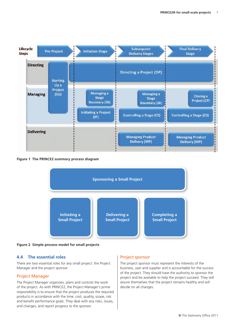

**Figure 1 The PRINCE2 summary process diagram**



**Figure 2 Simple process model for small projects**

#### **4.4 The essential roles**

There are two essential roles for any small project: the Project Manager and the project sponsor.

#### Project Manager

The Project Manager organizes, plans and controls the work of the project. As with PRINCE2, the Project Manager's prime responsibility is to ensure that the project produces the required products in accordance with the time, cost, quality, scope, risk and benefit performance goals. They deal with any risks, issues, and changes, and report progress to the sponsor.

#### Project sponsor

The project sponsor must represent the interests of the business, user and supplier and is accountable for the success of the project. They should have the authority to sponsor the project and be available to help the project succeed. They will assure themselves that the project remains healthy and will decide on all changes.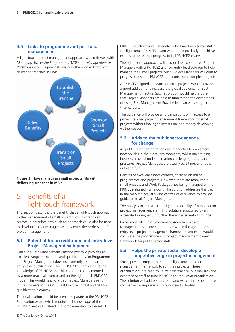#### **4.5 Links to programme and portfolio management**

A light-touch project management approach would fit well with *Managing Successful Programmes* (MSP) and *Management of Portfolios* (MoP). Figure 3 shows how the approach fits with delivering tranches in MSP.



**Figure 3 How managing small projects fits with delivering tranches in MSP**

### 5 Benefits of a light-touch framework

This section describes the benefits that a light-touch approach to the management of small projects would offer to all sectors. It describes how such an approach could also be used to develop Project Managers as they enter the profession of project management.

#### **5.1 Potential for accreditation and entry-level Project Manager development**

While the Best Management Practice portfolio provides an excellent range of methods and qualifications for Programme and Project Managers, it does not currently include an entry-level qualification. The PRINCE2 Foundation tests the knowledge of PRINCE2 and this could be complemented by a more practical exam based on the light-touch PRINCE2 model. This would help to attract Project Managers early in their careers to the OGC Best Practice Toolkit and APMG qualification hierarchy.

The qualification should be seen as separate to the PRINCE2 Foundation exam, which requires full knowledge of the PRINCE2 method. Instead it is complementary to the set of

PRINCE2 qualifications. Delegates who have been successful in the light-touch PRINCE2 exam would be more likely to achieve exam success as they progress to full PRINCE2 exams.

The light-touch approach will provide less experienced Project Managers with a PRINCE2 aligned, entry-level solution to help manage their small projects. Such Project Managers will wish to progress to use full PRINCE2 for future, more complex projects.

A PRINCE2 aligned standard for small projects would provide a good addition and increase the global audience for Best Management Practice. Such a solution would help ensure that Project Managers are able to understand the advantages of using Best Management Practice from an early stage in their careers.

The guidance will provide all organizations with access to a proven, tailored project management framework for small projects without having to invest time and money developing vit themselves.

#### **5.2 Adds to the public sector agenda for change**

All public sector organizations are mandated to implement new policies in their local environments, whilst maintaining business as usual under increasing challenging budgetary pressures. Project Managers are usually part-time, with other duties to fulfil.

Centres of excellence have correctly focused on major programmes and projects. However, there are many more small projects and Work Packages not being managed with a PRINCE2-aligned framework. This solution addresses this gap in the marketplace, allowing centres of excellence to provide guidance to all Project Managers.

The policy is to increase capacity and capability of public sector project management staff. This solution, supported by an accredited exam, would further the achievement of this goal.

Professional Skills for Government Agenda – Project Management is a core competence within the agenda. An entry-level project management framework and exam would complete the programme and project management career framework for public sector staff.

#### **5.3 Helps the private sector develop a competitive edge in project management**

Small, private companies require a light-touch project management framework to run their projects. These organizations are keen to utilize best practice, but may lack the expertise or staff to tune PRINCE2 for their own organization. The solution will address this issue and will certainly help those companies selling services to public sector bodies.